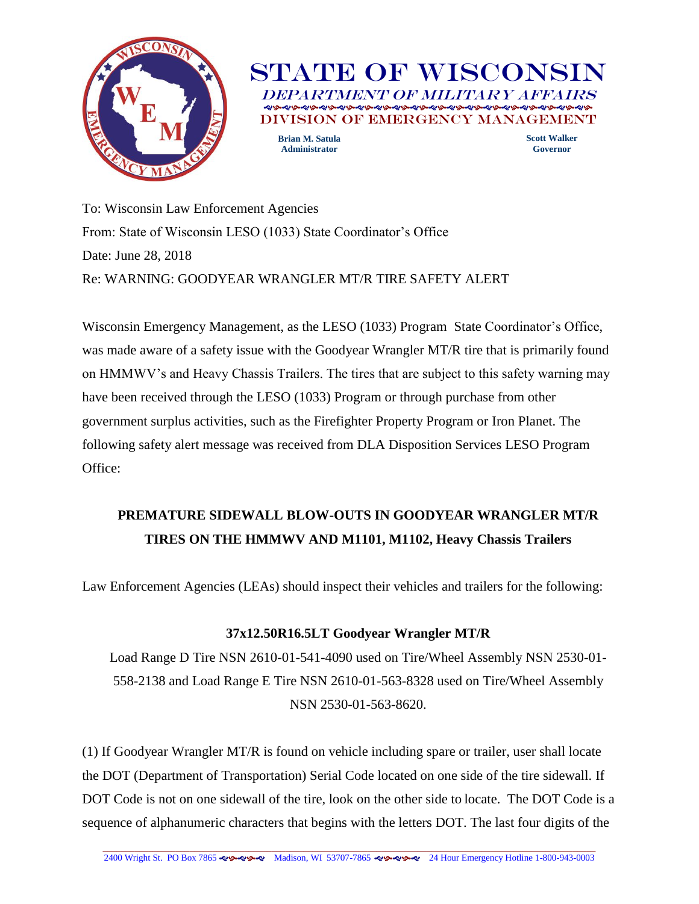

**STATE OF WISCONSI** DEPARTMENT OF MILITARY AFFAI VISION OF EMERGENCY MANAGEME **Scott Walker Brian M. Satula**

**Administrator**

**Governor**

To: Wisconsin Law Enforcement Agencies From: State of Wisconsin LESO (1033) State Coordinator's Office Date: June 28, 2018 Re: WARNING: GOODYEAR WRANGLER MT/R TIRE SAFETY ALERT

Wisconsin Emergency Management, as the LESO (1033) Program State Coordinator's Office, was made aware of a safety issue with the Goodyear Wrangler MT/R tire that is primarily found on HMMWV's and Heavy Chassis Trailers. The tires that are subject to this safety warning may have been received through the LESO (1033) Program or through purchase from other government surplus activities, such as the Firefighter Property Program or Iron Planet. The following safety alert message was received from DLA Disposition Services LESO Program Office:

## **PREMATURE SIDEWALL BLOW-OUTS IN GOODYEAR WRANGLER MT/R TIRES ON THE HMMWV AND M1101, M1102, Heavy Chassis Trailers**

Law Enforcement Agencies (LEAs) should inspect their vehicles and trailers for the following:

## **37x12.50R16.5LT Goodyear Wrangler MT/R**

Load Range D Tire NSN 2610-01-541-4090 used on Tire/Wheel Assembly NSN 2530-01- 558-2138 and Load Range E Tire NSN 2610-01-563-8328 used on Tire/Wheel Assembly NSN 2530-01-563-8620.

(1) If Goodyear Wrangler MT/R is found on vehicle including spare or trailer, user shall locate the DOT (Department of Transportation) Serial Code located on one side of the tire sidewall. If DOT Code is not on one sidewall of the tire, look on the other side to locate. The DOT Code is a sequence of alphanumeric characters that begins with the letters DOT. The last four digits of the